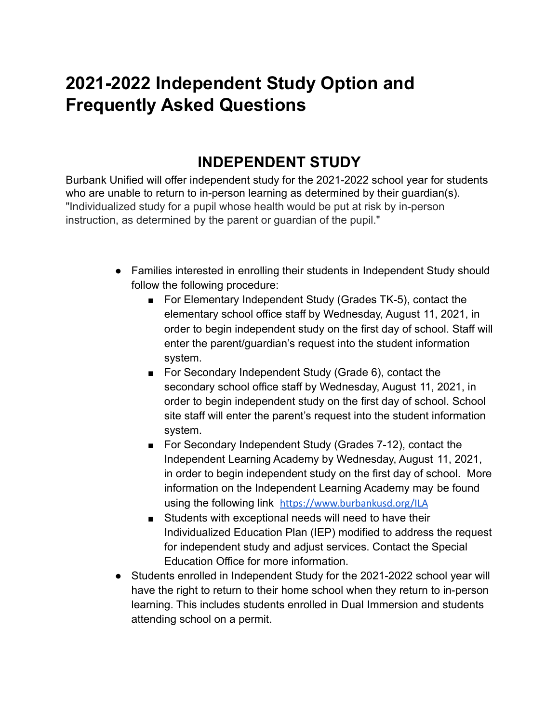# **2021-2022 Independent Study Option and Frequently Asked Questions**

### **INDEPENDENT STUDY**

Burbank Unified will offer independent study for the 2021-2022 school year for students who are unable to return to in-person learning as determined by their guardian(s). "Individualized study for a pupil whose health would be put at risk by in-person instruction, as determined by the parent or guardian of the pupil."

- Families interested in enrolling their students in Independent Study should follow the following procedure:
	- For Elementary Independent Study (Grades TK-5), contact the elementary school office staff by Wednesday, August 11, 2021, in order to begin independent study on the first day of school. Staff will enter the parent/guardian's request into the student information system.
	- For Secondary Independent Study (Grade 6), contact the secondary school office staff by Wednesday, August 11, 2021, in order to begin independent study on the first day of school. School site staff will enter the parent's request into the student information system.
	- For Secondary Independent Study (Grades 7-12), contact the Independent Learning Academy by Wednesday, August 11, 2021, in order to begin independent study on the first day of school. More information on the Independent Learning Academy may be found using the following link <https://www.burbankusd.org/ILA>
	- Students with exceptional needs will need to have their Individualized Education Plan (IEP) modified to address the request for independent study and adjust services. Contact the Special Education Office for more information.
- Students enrolled in Independent Study for the 2021-2022 school year will have the right to return to their home school when they return to in-person learning. This includes students enrolled in Dual Immersion and students attending school on a permit.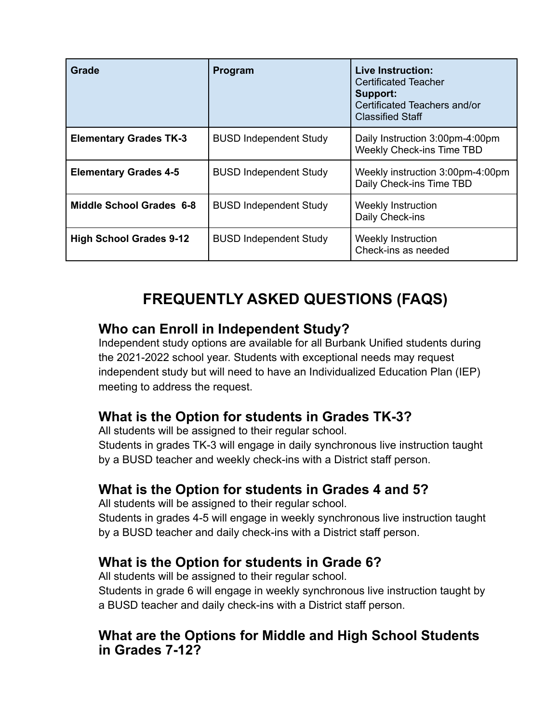| Grade                           | Program                       | <b>Live Instruction:</b><br><b>Certificated Teacher</b><br>Support:<br>Certificated Teachers and/or<br><b>Classified Staff</b> |
|---------------------------------|-------------------------------|--------------------------------------------------------------------------------------------------------------------------------|
| <b>Elementary Grades TK-3</b>   | <b>BUSD Independent Study</b> | Daily Instruction 3:00pm-4:00pm<br><b>Weekly Check-ins Time TBD</b>                                                            |
| <b>Elementary Grades 4-5</b>    | <b>BUSD Independent Study</b> | Weekly instruction 3:00pm-4:00pm<br>Daily Check-ins Time TBD                                                                   |
| <b>Middle School Grades 6-8</b> | <b>BUSD Independent Study</b> | <b>Weekly Instruction</b><br>Daily Check-ins                                                                                   |
| <b>High School Grades 9-12</b>  | <b>BUSD Independent Study</b> | Weekly Instruction<br>Check-ins as needed                                                                                      |

## **FREQUENTLY ASKED QUESTIONS (FAQS)**

#### **Who can Enroll in Independent Study?**

Independent study options are available for all Burbank Unified students during the 2021-2022 school year. Students with exceptional needs may request independent study but will need to have an Individualized Education Plan (IEP) meeting to address the request.

## **What is the Option for students in Grades TK-3?**

All students will be assigned to their regular school.

Students in grades TK-3 will engage in daily synchronous live instruction taught by a BUSD teacher and weekly check-ins with a District staff person.

## **What is the Option for students in Grades 4 and 5?**

All students will be assigned to their regular school.

Students in grades 4-5 will engage in weekly synchronous live instruction taught by a BUSD teacher and daily check-ins with a District staff person.

## **What is the Option for students in Grade 6?**

All students will be assigned to their regular school.

Students in grade 6 will engage in weekly synchronous live instruction taught by a BUSD teacher and daily check-ins with a District staff person.

#### **What are the Options for Middle and High School Students in Grades 7-12?**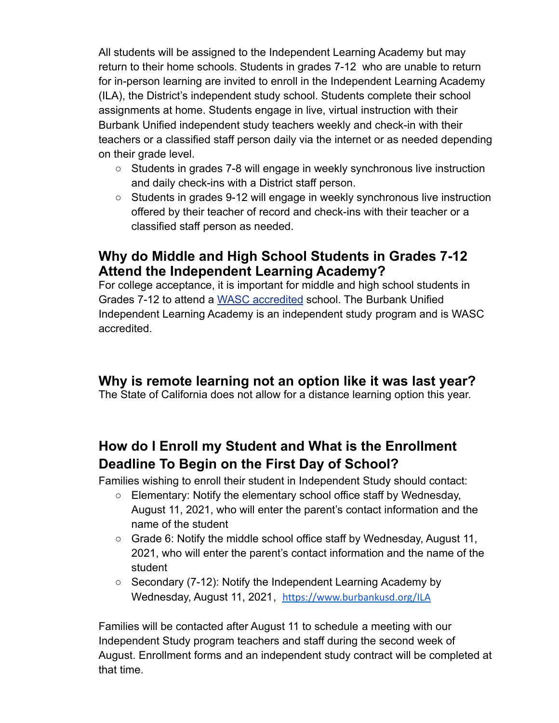All students will be assigned to the Independent Learning Academy but may return to their home schools. Students in grades 7-12 who are unable to return for in-person learning are invited to enroll in the Independent Learning Academy (ILA), the District's independent study school. Students complete their school assignments at home. Students engage in live, virtual instruction with their Burbank Unified independent study teachers weekly and check-in with their teachers or a classified staff person daily via the internet or as needed depending on their grade level.

- Students in grades 7-8 will engage in weekly synchronous live instruction and daily check-ins with a District staff person.
- Students in grades 9-12 will engage in weekly synchronous live instruction offered by their teacher of record and check-ins with their teacher or a classified staff person as needed.

#### **Why do Middle and High School Students in Grades 7-12 Attend the Independent Learning Academy?**

For college acceptance, it is important for middle and high school students in Grades 7-12 to attend a [WASC accredited](https://www.acswasc.org/) school. The Burbank Unified Independent Learning Academy is an independent study program and is WASC accredited.

#### **Why is remote learning not an option like it was last year?**

The State of California does not allow for a distance learning option this year.

## **How do I Enroll my Student and What is the Enrollment Deadline To Begin on the First Day of School?**

Families wishing to enroll their student in Independent Study should contact:

- $\circ$  Elementary: Notify the elementary school office staff by Wednesday, August 11, 2021, who will enter the parent's contact information and the name of the student
- Grade 6: Notify the middle school office staff by Wednesday, August 11, 2021, who will enter the parent's contact information and the name of the student
- Secondary (7-12): Notify the Independent Learning Academy by Wednesday, August 11, 2021, <https://www.burbankusd.org/ILA>

Families will be contacted after August 11 to schedule a meeting with our Independent Study program teachers and staff during the second week of August. Enrollment forms and an independent study contract will be completed at that time.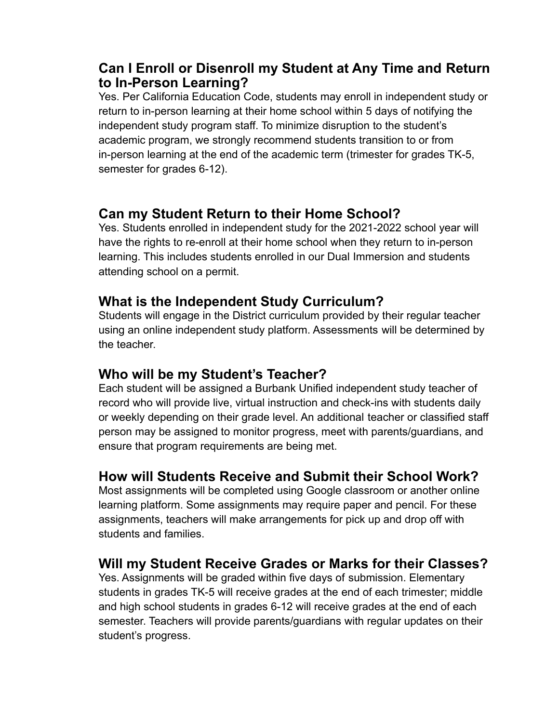#### **Can I Enroll or Disenroll my Student at Any Time and Return to In-Person Learning?**

Yes. Per California Education Code, students may enroll in independent study or return to in-person learning at their home school within 5 days of notifying the independent study program staff. To minimize disruption to the student's academic program, we strongly recommend students transition to or from in-person learning at the end of the academic term (trimester for grades TK-5, semester for grades 6-12).

#### **Can my Student Return to their Home School?**

Yes. Students enrolled in independent study for the 2021-2022 school year will have the rights to re-enroll at their home school when they return to in-person learning. This includes students enrolled in our Dual Immersion and students attending school on a permit.

#### **What is the Independent Study Curriculum?**

Students will engage in the District curriculum provided by their regular teacher using an online independent study platform. Assessments will be determined by the teacher.

#### **Who will be my Student's Teacher?**

Each student will be assigned a Burbank Unified independent study teacher of record who will provide live, virtual instruction and check-ins with students daily or weekly depending on their grade level. An additional teacher or classified staff person may be assigned to monitor progress, meet with parents/guardians, and ensure that program requirements are being met.

#### **How will Students Receive and Submit their School Work?**

Most assignments will be completed using Google classroom or another online learning platform. Some assignments may require paper and pencil. For these assignments, teachers will make arrangements for pick up and drop off with students and families.

#### **Will my Student Receive Grades or Marks for their Classes?**

Yes. Assignments will be graded within five days of submission. Elementary students in grades TK-5 will receive grades at the end of each trimester; middle and high school students in grades 6-12 will receive grades at the end of each semester. Teachers will provide parents/guardians with regular updates on their student's progress.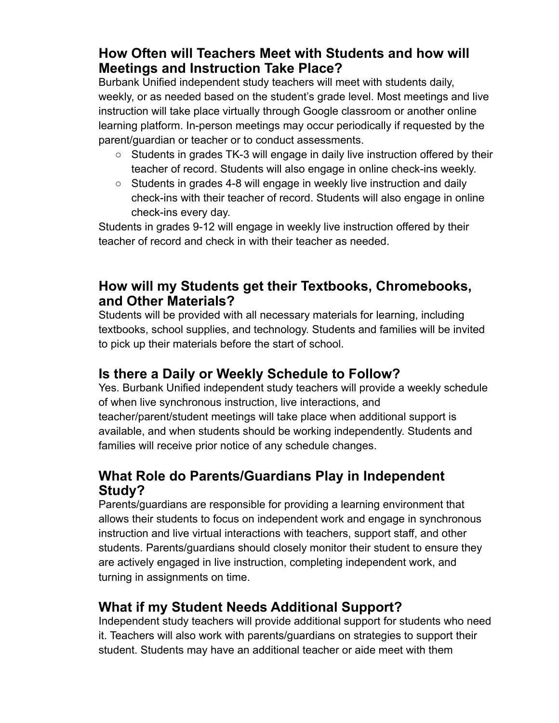#### **How Often will Teachers Meet with Students and how will Meetings and Instruction Take Place?**

Burbank Unified independent study teachers will meet with students daily, weekly, or as needed based on the student's grade level. Most meetings and live instruction will take place virtually through Google classroom or another online learning platform. In-person meetings may occur periodically if requested by the parent/guardian or teacher or to conduct assessments.

- Students in grades TK-3 will engage in daily live instruction offered by their teacher of record. Students will also engage in online check-ins weekly.
- Students in grades 4-8 will engage in weekly live instruction and daily check-ins with their teacher of record. Students will also engage in online check-ins every day.

Students in grades 9-12 will engage in weekly live instruction offered by their teacher of record and check in with their teacher as needed.

#### **How will my Students get their Textbooks, Chromebooks, and Other Materials?**

Students will be provided with all necessary materials for learning, including textbooks, school supplies, and technology. Students and families will be invited to pick up their materials before the start of school.

#### **Is there a Daily or Weekly Schedule to Follow?**

Yes. Burbank Unified independent study teachers will provide a weekly schedule of when live synchronous instruction, live interactions, and teacher/parent/student meetings will take place when additional support is available, and when students should be working independently. Students and families will receive prior notice of any schedule changes.

#### **What Role do Parents/Guardians Play in Independent Study?**

Parents/guardians are responsible for providing a learning environment that allows their students to focus on independent work and engage in synchronous instruction and live virtual interactions with teachers, support staff, and other students. Parents/guardians should closely monitor their student to ensure they are actively engaged in live instruction, completing independent work, and turning in assignments on time.

## **What if my Student Needs Additional Support?**

Independent study teachers will provide additional support for students who need it. Teachers will also work with parents/guardians on strategies to support their student. Students may have an additional teacher or aide meet with them